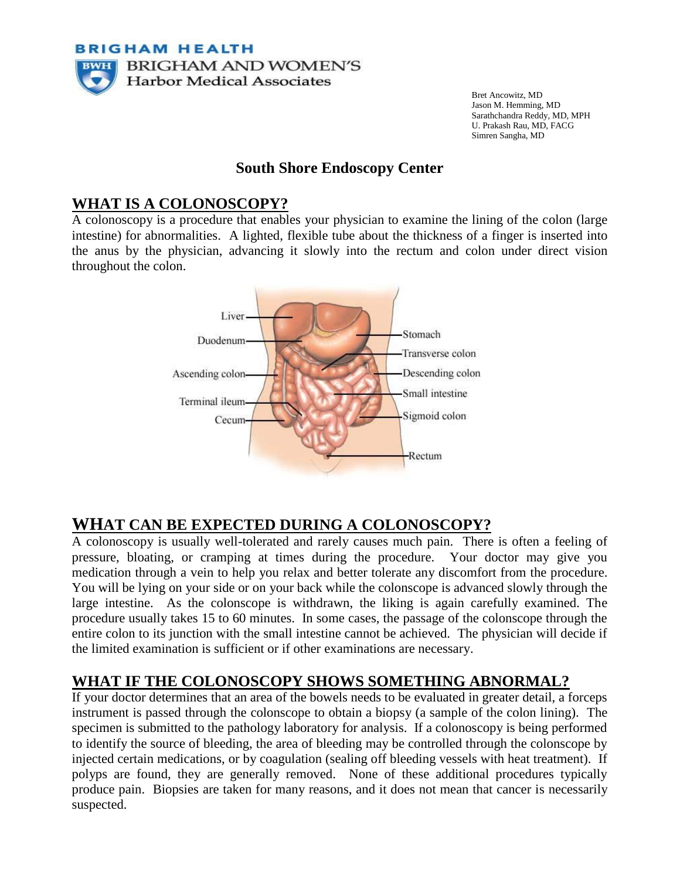

Bret Ancowitz, MD Jason M. Hemming, MD Sarathchandra Reddy, MD, MPH U. Prakash Rau, MD, FACG Simren Sangha, MD

#### **South Shore Endoscopy Center**

### **WHAT IS A COLONOSCOPY?**

A colonoscopy is a procedure that enables your physician to examine the lining of the colon (large intestine) for abnormalities. A lighted, flexible tube about the thickness of a finger is inserted into the anus by the physician, advancing it slowly into the rectum and colon under direct vision throughout the colon.



## **WHAT CAN BE EXPECTED DURING A COLONOSCOPY?**

A colonoscopy is usually well-tolerated and rarely causes much pain. There is often a feeling of pressure, bloating, or cramping at times during the procedure. Your doctor may give you medication through a vein to help you relax and better tolerate any discomfort from the procedure. You will be lying on your side or on your back while the colonscope is advanced slowly through the large intestine. As the colonscope is withdrawn, the liking is again carefully examined. The procedure usually takes 15 to 60 minutes. In some cases, the passage of the colonscope through the entire colon to its junction with the small intestine cannot be achieved. The physician will decide if the limited examination is sufficient or if other examinations are necessary.

## **WHAT IF THE COLONOSCOPY SHOWS SOMETHING ABNORMAL?**

If your doctor determines that an area of the bowels needs to be evaluated in greater detail, a forceps instrument is passed through the colonscope to obtain a biopsy (a sample of the colon lining). The specimen is submitted to the pathology laboratory for analysis. If a colonoscopy is being performed to identify the source of bleeding, the area of bleeding may be controlled through the colonscope by injected certain medications, or by coagulation (sealing off bleeding vessels with heat treatment). If polyps are found, they are generally removed. None of these additional procedures typically produce pain. Biopsies are taken for many reasons, and it does not mean that cancer is necessarily suspected.